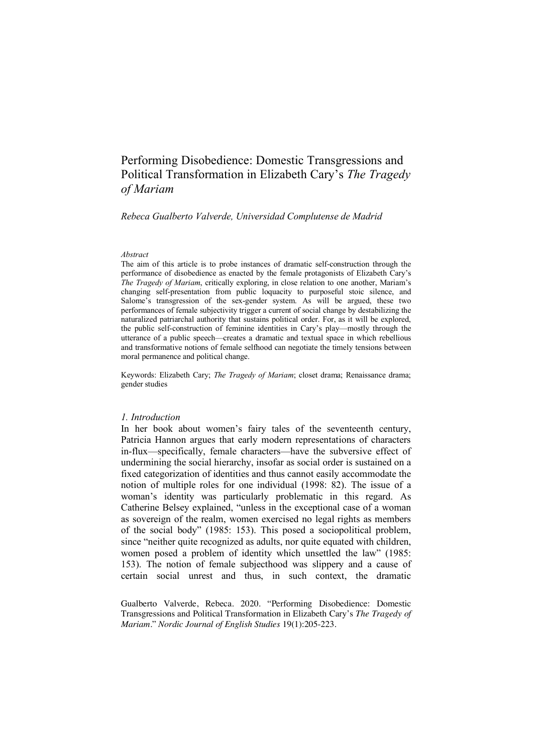## Performing Disobedience: Domestic Transgressions and Political Transformation in Elizabeth Cary's *The Tragedy of Mariam*

#### *Rebeca Gualberto Valverde, Universidad Complutense de Madrid*

#### *Abstract*

The aim of this article is to probe instances of dramatic self-construction through the performance of disobedience as enacted by the female protagonists of Elizabeth Cary's *The Tragedy of Mariam*, critically exploring, in close relation to one another, Mariam's changing self-presentation from public loquacity to purposeful stoic silence, and Salome's transgression of the sex-gender system. As will be argued, these two performances of female subjectivity trigger a current of social change by destabilizing the naturalized patriarchal authority that sustains political order. For, as it will be explored, the public self-construction of feminine identities in Cary's play—mostly through the utterance of a public speech—creates a dramatic and textual space in which rebellious and transformative notions of female selfhood can negotiate the timely tensions between moral permanence and political change.

Keywords: Elizabeth Cary; *The Tragedy of Mariam*; closet drama; Renaissance drama; gender studies

#### *1. Introduction*

In her book about women's fairy tales of the seventeenth century, Patricia Hannon argues that early modern representations of characters in-flux—specifically, female characters—have the subversive effect of undermining the social hierarchy, insofar as social order is sustained on a fixed categorization of identities and thus cannot easily accommodate the notion of multiple roles for one individual (1998: 82). The issue of a woman's identity was particularly problematic in this regard. As Catherine Belsey explained, "unless in the exceptional case of a woman as sovereign of the realm, women exercised no legal rights as members of the social body" (1985: 153). This posed a sociopolitical problem, since "neither quite recognized as adults, nor quite equated with children, women posed a problem of identity which unsettled the law" (1985: 153). The notion of female subjecthood was slippery and a cause of certain social unrest and thus, in such context, the dramatic

Gualberto Valverde, Rebeca. 2020. "Performing Disobedience: Domestic Transgressions and Political Transformation in Elizabeth Cary's *The Tragedy of Mariam*." *Nordic Journal of English Studies* 19(1):205-223.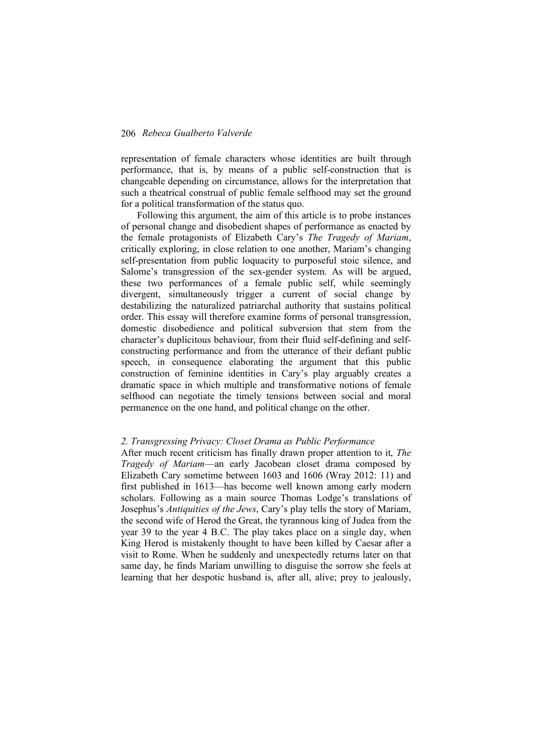representation of female characters whose identities are built through performance, that is, by means of a public self-construction that is changeable depending on circumstance, allows for the interpretation that such a theatrical construal of public female selfhood may set the ground for a political transformation of the status quo.

Following this argument, the aim of this article is to probe instances of personal change and disobedient shapes of performance as enacted by the female protagonists of Elizabeth Cary's *The Tragedy of Mariam*, critically exploring, in close relation to one another, Mariam's changing self-presentation from public loquacity to purposeful stoic silence, and Salome's transgression of the sex-gender system. As will be argued, these two performances of a female public self, while seemingly divergent, simultaneously trigger a current of social change by destabilizing the naturalized patriarchal authority that sustains political order. This essay will therefore examine forms of personal transgression, domestic disobedience and political subversion that stem from the character's duplicitous behaviour, from their fluid self-defining and selfconstructing performance and from the utterance of their defiant public speech, in consequence elaborating the argument that this public construction of feminine identities in Cary's play arguably creates a dramatic space in which multiple and transformative notions of female selfhood can negotiate the timely tensions between social and moral permanence on the one hand, and political change on the other.

#### *2. Transgressing Privacy: Closet Drama as Public Performance*

After much recent criticism has finally drawn proper attention to it, *The Tragedy of Mariam*—an early Jacobean closet drama composed by Elizabeth Cary sometime between 1603 and 1606 (Wray 2012: 11) and first published in 1613—has become well known among early modern scholars. Following as a main source Thomas Lodge's translations of Josephus's *Antiquities of the Jews*, Cary's play tells the story of Mariam, the second wife of Herod the Great, the tyrannous king of Judea from the year 39 to the year 4 B.C. The play takes place on a single day, when King Herod is mistakenly thought to have been killed by Caesar after a visit to Rome. When he suddenly and unexpectedly returns later on that same day, he finds Mariam unwilling to disguise the sorrow she feels at learning that her despotic husband is, after all, alive; prey to jealously,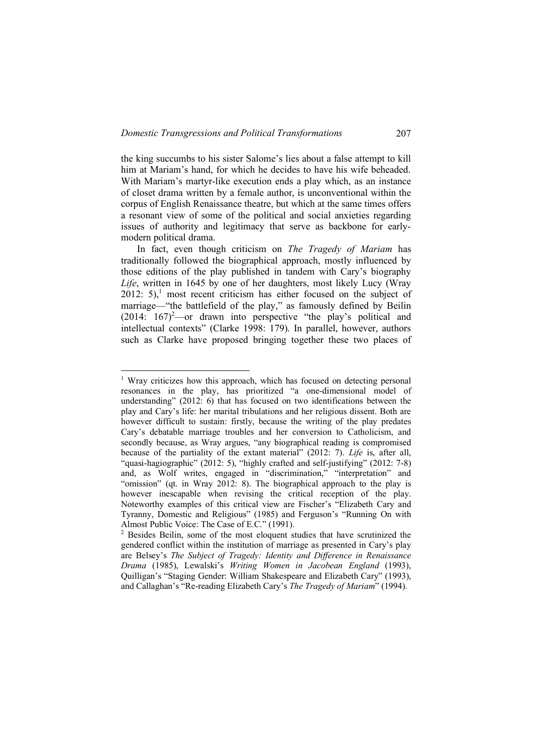the king succumbs to his sister Salome's lies about a false attempt to kill him at Mariam's hand, for which he decides to have his wife beheaded. With Mariam's martyr-like execution ends a play which, as an instance of closet drama written by a female author, is unconventional within the corpus of English Renaissance theatre, but which at the same times offers a resonant view of some of the political and social anxieties regarding issues of authority and legitimacy that serve as backbone for earlymodern political drama.

In fact, even though criticism on *The Tragedy of Mariam* has traditionally followed the biographical approach, mostly influenced by those editions of the play published in tandem with Cary's biography *Life*, written in 1645 by one of her daughters, most likely Lucy (Wray 2012:  $5$ <sup>1</sup>, most recent criticism has either focused on the subject of marriage—"the battlefield of the play," as famously defined by Beilin  $(2014: 167)^2$ —or drawn into perspective "the play's political and intellectual contexts" (Clarke 1998: 179). In parallel, however, authors such as Clarke have proposed bringing together these two places of

<sup>&</sup>lt;sup>1</sup> Wray criticizes how this approach, which has focused on detecting personal resonances in the play, has prioritized "a one-dimensional model of understanding" (2012: 6) that has focused on two identifications between the play and Cary's life: her marital tribulations and her religious dissent. Both are however difficult to sustain: firstly, because the writing of the play predates Cary's debatable marriage troubles and her conversion to Catholicism, and secondly because, as Wray argues, "any biographical reading is compromised because of the partiality of the extant material" (2012: 7). *Life* is, after all, "quasi-hagiographic" (2012: 5), "highly crafted and self-justifying" (2012: 7-8) and, as Wolf writes, engaged in "discrimination," "interpretation" and "omission" (qt. in Wray 2012: 8). The biographical approach to the play is however inescapable when revising the critical reception of the play. Noteworthy examples of this critical view are Fischer's "Elizabeth Cary and Tyranny, Domestic and Religious" (1985) and Ferguson's "Running On with Almost Public Voice: The Case of E.C." (1991).

<sup>2</sup> Besides Beilin, some of the most eloquent studies that have scrutinized the gendered conflict within the institution of marriage as presented in Cary's play are Belsey's *The Subject of Tragedy: Identity and Difference in Renaissance Drama* (1985), Lewalski's *Writing Women in Jacobean England* (1993), Quilligan's "Staging Gender: William Shakespeare and Elizabeth Cary" (1993), and Callaghan's "Re-reading Elizabeth Cary's *The Tragedy of Mariam*" (1994).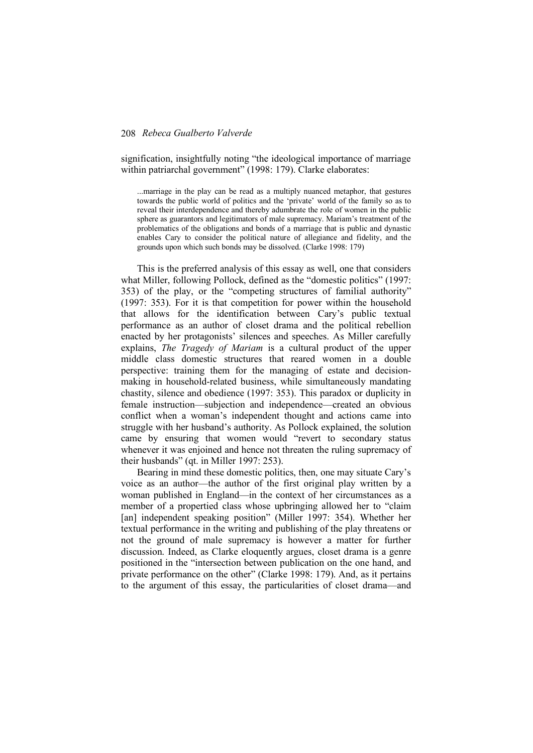signification, insightfully noting "the ideological importance of marriage within patriarchal government" (1998: 179). Clarke elaborates:

...marriage in the play can be read as a multiply nuanced metaphor, that gestures towards the public world of politics and the 'private' world of the family so as to reveal their interdependence and thereby adumbrate the role of women in the public sphere as guarantors and legitimators of male supremacy. Mariam's treatment of the problematics of the obligations and bonds of a marriage that is public and dynastic enables Cary to consider the political nature of allegiance and fidelity, and the grounds upon which such bonds may be dissolved. (Clarke 1998: 179)

This is the preferred analysis of this essay as well, one that considers what Miller, following Pollock, defined as the "domestic politics" (1997: 353) of the play, or the "competing structures of familial authority" (1997: 353). For it is that competition for power within the household that allows for the identification between Cary's public textual performance as an author of closet drama and the political rebellion enacted by her protagonists' silences and speeches. As Miller carefully explains, *The Tragedy of Mariam* is a cultural product of the upper middle class domestic structures that reared women in a double perspective: training them for the managing of estate and decisionmaking in household-related business, while simultaneously mandating chastity, silence and obedience (1997: 353). This paradox or duplicity in female instruction—subjection and independence—created an obvious conflict when a woman's independent thought and actions came into struggle with her husband's authority. As Pollock explained, the solution came by ensuring that women would "revert to secondary status whenever it was enjoined and hence not threaten the ruling supremacy of their husbands" (qt. in Miller 1997: 253).

Bearing in mind these domestic politics, then, one may situate Cary's voice as an author—the author of the first original play written by a woman published in England—in the context of her circumstances as a member of a propertied class whose upbringing allowed her to "claim [an] independent speaking position" (Miller 1997: 354). Whether her textual performance in the writing and publishing of the play threatens or not the ground of male supremacy is however a matter for further discussion. Indeed, as Clarke eloquently argues, closet drama is a genre positioned in the "intersection between publication on the one hand, and private performance on the other" (Clarke 1998: 179). And, as it pertains to the argument of this essay, the particularities of closet drama—and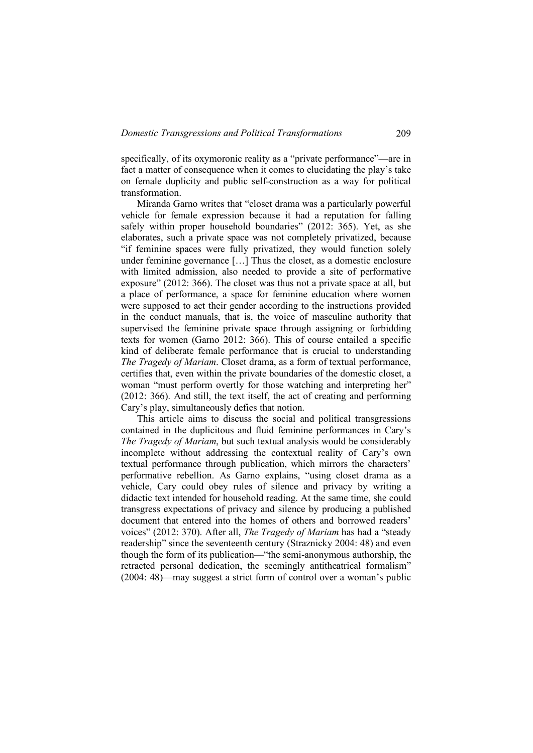specifically, of its oxymoronic reality as a "private performance"—are in fact a matter of consequence when it comes to elucidating the play's take on female duplicity and public self-construction as a way for political transformation.

Miranda Garno writes that "closet drama was a particularly powerful vehicle for female expression because it had a reputation for falling safely within proper household boundaries" (2012: 365). Yet, as she elaborates, such a private space was not completely privatized, because "if feminine spaces were fully privatized, they would function solely under feminine governance […] Thus the closet, as a domestic enclosure with limited admission, also needed to provide a site of performative exposure" (2012: 366). The closet was thus not a private space at all, but a place of performance, a space for feminine education where women were supposed to act their gender according to the instructions provided in the conduct manuals, that is, the voice of masculine authority that supervised the feminine private space through assigning or forbidding texts for women (Garno 2012: 366). This of course entailed a specific kind of deliberate female performance that is crucial to understanding *The Tragedy of Mariam*. Closet drama, as a form of textual performance, certifies that, even within the private boundaries of the domestic closet, a woman "must perform overtly for those watching and interpreting her" (2012: 366). And still, the text itself, the act of creating and performing Cary's play, simultaneously defies that notion.

This article aims to discuss the social and political transgressions contained in the duplicitous and fluid feminine performances in Cary's *The Tragedy of Mariam*, but such textual analysis would be considerably incomplete without addressing the contextual reality of Cary's own textual performance through publication, which mirrors the characters' performative rebellion. As Garno explains, "using closet drama as a vehicle, Cary could obey rules of silence and privacy by writing a didactic text intended for household reading. At the same time, she could transgress expectations of privacy and silence by producing a published document that entered into the homes of others and borrowed readers' voices" (2012: 370). After all, *The Tragedy of Mariam* has had a "steady readership" since the seventeenth century (Straznicky 2004: 48) and even though the form of its publication—"the semi-anonymous authorship, the retracted personal dedication, the seemingly antitheatrical formalism" (2004: 48)—may suggest a strict form of control over a woman's public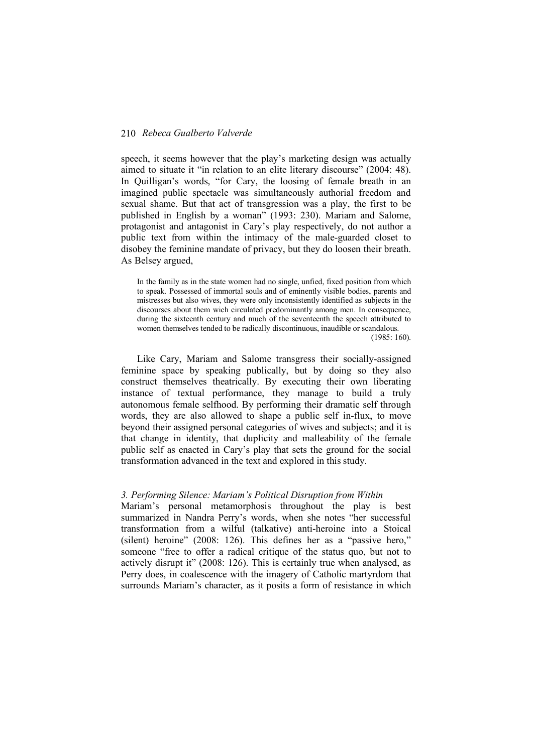speech, it seems however that the play's marketing design was actually aimed to situate it "in relation to an elite literary discourse" (2004: 48). In Quilligan's words, "for Cary, the loosing of female breath in an imagined public spectacle was simultaneously authorial freedom and sexual shame. But that act of transgression was a play, the first to be published in English by a woman" (1993: 230). Mariam and Salome, protagonist and antagonist in Cary's play respectively, do not author a public text from within the intimacy of the male-guarded closet to disobey the feminine mandate of privacy, but they do loosen their breath. As Belsey argued,

In the family as in the state women had no single, unfied, fixed position from which to speak. Possessed of immortal souls and of eminently visible bodies, parents and mistresses but also wives, they were only inconsistently identified as subjects in the discourses about them wich circulated predominantly among men. In consequence, during the sixteenth century and much of the seventeenth the speech attributed to women themselves tended to be radically discontinuous, inaudible or scandalous.

(1985: 160).

Like Cary, Mariam and Salome transgress their socially-assigned feminine space by speaking publically, but by doing so they also construct themselves theatrically. By executing their own liberating instance of textual performance, they manage to build a truly autonomous female selfhood. By performing their dramatic self through words, they are also allowed to shape a public self in-flux, to move beyond their assigned personal categories of wives and subjects; and it is that change in identity, that duplicity and malleability of the female public self as enacted in Cary's play that sets the ground for the social transformation advanced in the text and explored in this study.

## *3. Performing Silence: Mariam's Political Disruption from Within*

Mariam's personal metamorphosis throughout the play is best summarized in Nandra Perry's words, when she notes "her successful transformation from a wilful (talkative) anti-heroine into a Stoical (silent) heroine" (2008: 126). This defines her as a "passive hero," someone "free to offer a radical critique of the status quo, but not to actively disrupt it" (2008: 126). This is certainly true when analysed, as Perry does, in coalescence with the imagery of Catholic martyrdom that surrounds Mariam's character, as it posits a form of resistance in which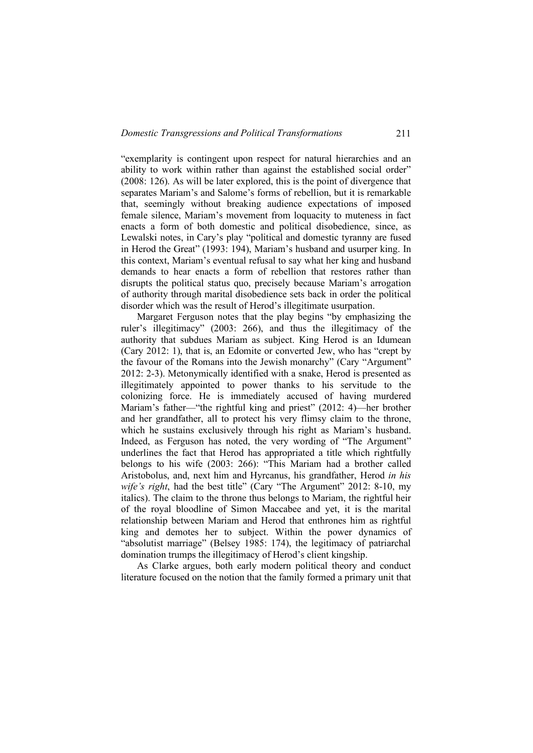"exemplarity is contingent upon respect for natural hierarchies and an ability to work within rather than against the established social order" (2008: 126). As will be later explored, this is the point of divergence that separates Mariam's and Salome's forms of rebellion, but it is remarkable that, seemingly without breaking audience expectations of imposed female silence, Mariam's movement from loquacity to muteness in fact enacts a form of both domestic and political disobedience, since, as Lewalski notes, in Cary's play "political and domestic tyranny are fused in Herod the Great" (1993: 194), Mariam's husband and usurper king. In this context, Mariam's eventual refusal to say what her king and husband demands to hear enacts a form of rebellion that restores rather than disrupts the political status quo, precisely because Mariam's arrogation of authority through marital disobedience sets back in order the political disorder which was the result of Herod's illegitimate usurpation.

Margaret Ferguson notes that the play begins "by emphasizing the ruler's illegitimacy" (2003: 266), and thus the illegitimacy of the authority that subdues Mariam as subject. King Herod is an Idumean (Cary 2012: 1), that is, an Edomite or converted Jew, who has "crept by the favour of the Romans into the Jewish monarchy" (Cary "Argument" 2012: 2-3). Metonymically identified with a snake, Herod is presented as illegitimately appointed to power thanks to his servitude to the colonizing force. He is immediately accused of having murdered Mariam's father—"the rightful king and priest" (2012: 4)—her brother and her grandfather, all to protect his very flimsy claim to the throne, which he sustains exclusively through his right as Mariam's husband. Indeed, as Ferguson has noted, the very wording of "The Argument" underlines the fact that Herod has appropriated a title which rightfully belongs to his wife (2003: 266): "This Mariam had a brother called Aristobolus, and, next him and Hyrcanus, his grandfather, Herod *in his wife's right*, had the best title" (Cary "The Argument" 2012: 8-10, my italics). The claim to the throne thus belongs to Mariam, the rightful heir of the royal bloodline of Simon Maccabee and yet, it is the marital relationship between Mariam and Herod that enthrones him as rightful king and demotes her to subject. Within the power dynamics of "absolutist marriage" (Belsey 1985: 174), the legitimacy of patriarchal domination trumps the illegitimacy of Herod's client kingship.

As Clarke argues, both early modern political theory and conduct literature focused on the notion that the family formed a primary unit that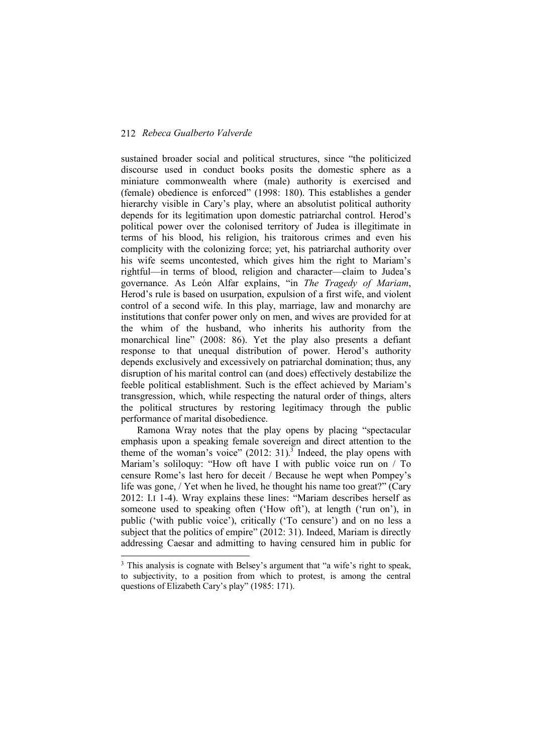sustained broader social and political structures, since "the politicized discourse used in conduct books posits the domestic sphere as a miniature commonwealth where (male) authority is exercised and (female) obedience is enforced" (1998: 180). This establishes a gender hierarchy visible in Cary's play, where an absolutist political authority depends for its legitimation upon domestic patriarchal control. Herod's political power over the colonised territory of Judea is illegitimate in terms of his blood, his religion, his traitorous crimes and even his complicity with the colonizing force; yet, his patriarchal authority over his wife seems uncontested, which gives him the right to Mariam's rightful—in terms of blood, religion and character—claim to Judea's governance. As León Alfar explains, "in *The Tragedy of Mariam*, Herod's rule is based on usurpation, expulsion of a first wife, and violent control of a second wife. In this play, marriage, law and monarchy are institutions that confer power only on men, and wives are provided for at the whim of the husband, who inherits his authority from the monarchical line" (2008: 86). Yet the play also presents a defiant response to that unequal distribution of power. Herod's authority depends exclusively and excessively on patriarchal domination; thus, any disruption of his marital control can (and does) effectively destabilize the feeble political establishment. Such is the effect achieved by Mariam's transgression, which, while respecting the natural order of things, alters the political structures by restoring legitimacy through the public performance of marital disobedience.

Ramona Wray notes that the play opens by placing "spectacular emphasis upon a speaking female sovereign and direct attention to the theme of the woman's voice"  $(2012: 31)$ .<sup>3</sup> Indeed, the play opens with Mariam's soliloquy: "How oft have I with public voice run on / To censure Rome's last hero for deceit / Because he wept when Pompey's life was gone, / Yet when he lived, he thought his name too great?" (Cary 2012: I.I 1-4). Wray explains these lines: "Mariam describes herself as someone used to speaking often ('How oft'), at length ('run on'), in public ('with public voice'), critically ('To censure') and on no less a subject that the politics of empire" (2012: 31). Indeed, Mariam is directly addressing Caesar and admitting to having censured him in public for

<sup>&</sup>lt;sup>3</sup> This analysis is cognate with Belsey's argument that "a wife's right to speak, to subjectivity, to a position from which to protest, is among the central questions of Elizabeth Cary's play" (1985: 171).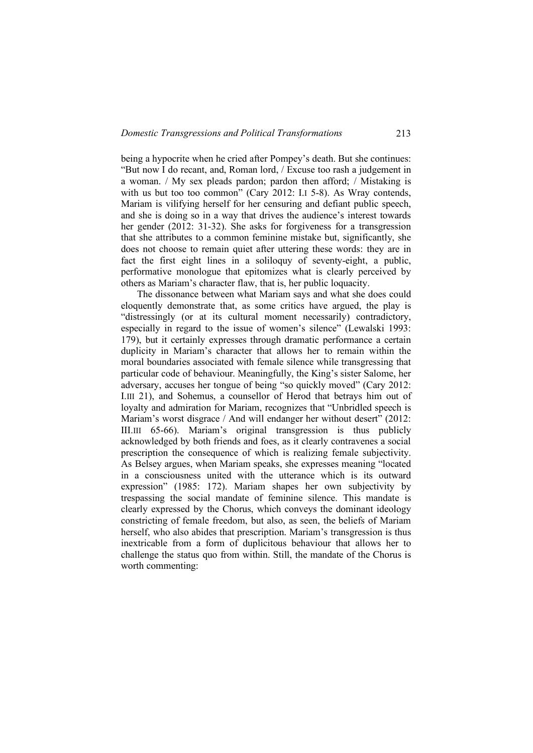being a hypocrite when he cried after Pompey's death. But she continues: "But now I do recant, and, Roman lord, / Excuse too rash a judgement in a woman. / My sex pleads pardon; pardon then afford; / Mistaking is with us but too too common" (Cary 2012: I.I 5-8). As Wray contends, Mariam is vilifying herself for her censuring and defiant public speech, and she is doing so in a way that drives the audience's interest towards her gender (2012: 31-32). She asks for forgiveness for a transgression that she attributes to a common feminine mistake but, significantly, she does not choose to remain quiet after uttering these words: they are in fact the first eight lines in a soliloquy of seventy-eight, a public, performative monologue that epitomizes what is clearly perceived by others as Mariam's character flaw, that is, her public loquacity.

The dissonance between what Mariam says and what she does could eloquently demonstrate that, as some critics have argued, the play is "distressingly (or at its cultural moment necessarily) contradictory, especially in regard to the issue of women's silence" (Lewalski 1993: 179), but it certainly expresses through dramatic performance a certain duplicity in Mariam's character that allows her to remain within the moral boundaries associated with female silence while transgressing that particular code of behaviour. Meaningfully, the King's sister Salome, her adversary, accuses her tongue of being "so quickly moved" (Cary 2012: I.III 21), and Sohemus, a counsellor of Herod that betrays him out of loyalty and admiration for Mariam, recognizes that "Unbridled speech is Mariam's worst disgrace / And will endanger her without desert" (2012: III.III 65-66). Mariam's original transgression is thus publicly acknowledged by both friends and foes, as it clearly contravenes a social prescription the consequence of which is realizing female subjectivity. As Belsey argues, when Mariam speaks, she expresses meaning "located in a consciousness united with the utterance which is its outward expression" (1985: 172). Mariam shapes her own subjectivity by trespassing the social mandate of feminine silence. This mandate is clearly expressed by the Chorus, which conveys the dominant ideology constricting of female freedom, but also, as seen, the beliefs of Mariam herself, who also abides that prescription. Mariam's transgression is thus inextricable from a form of duplicitous behaviour that allows her to challenge the status quo from within. Still, the mandate of the Chorus is worth commenting: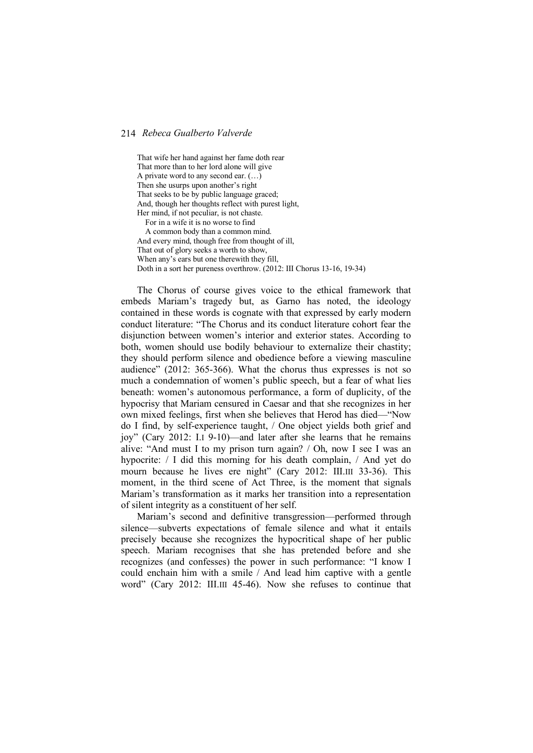That wife her hand against her fame doth rear That more than to her lord alone will give A private word to any second ear.  $(...)$ Then she usurps upon another's right That seeks to be by public language graced; And, though her thoughts reflect with purest light, Her mind, if not peculiar, is not chaste. For in a wife it is no worse to find A common body than a common mind. And every mind, though free from thought of ill, That out of glory seeks a worth to show, When any's ears but one therewith they fill, Doth in a sort her pureness overthrow. (2012: III Chorus 13-16, 19-34)

The Chorus of course gives voice to the ethical framework that embeds Mariam's tragedy but, as Garno has noted, the ideology contained in these words is cognate with that expressed by early modern conduct literature: "The Chorus and its conduct literature cohort fear the disjunction between women's interior and exterior states. According to both, women should use bodily behaviour to externalize their chastity; they should perform silence and obedience before a viewing masculine audience" (2012: 365-366). What the chorus thus expresses is not so much a condemnation of women's public speech, but a fear of what lies beneath: women's autonomous performance, a form of duplicity, of the hypocrisy that Mariam censured in Caesar and that she recognizes in her own mixed feelings, first when she believes that Herod has died—"Now do I find, by self-experience taught, / One object yields both grief and joy" (Cary 2012: I.I 9-10)—and later after she learns that he remains alive: "And must I to my prison turn again? / Oh, now I see I was an hypocrite: / I did this morning for his death complain, / And yet do mourn because he lives ere night" (Cary 2012: III.III 33-36). This moment, in the third scene of Act Three, is the moment that signals Mariam's transformation as it marks her transition into a representation of silent integrity as a constituent of her self.

Mariam's second and definitive transgression—performed through silence—subverts expectations of female silence and what it entails precisely because she recognizes the hypocritical shape of her public speech. Mariam recognises that she has pretended before and she recognizes (and confesses) the power in such performance: "I know I could enchain him with a smile / And lead him captive with a gentle word" (Cary 2012: III.III 45-46). Now she refuses to continue that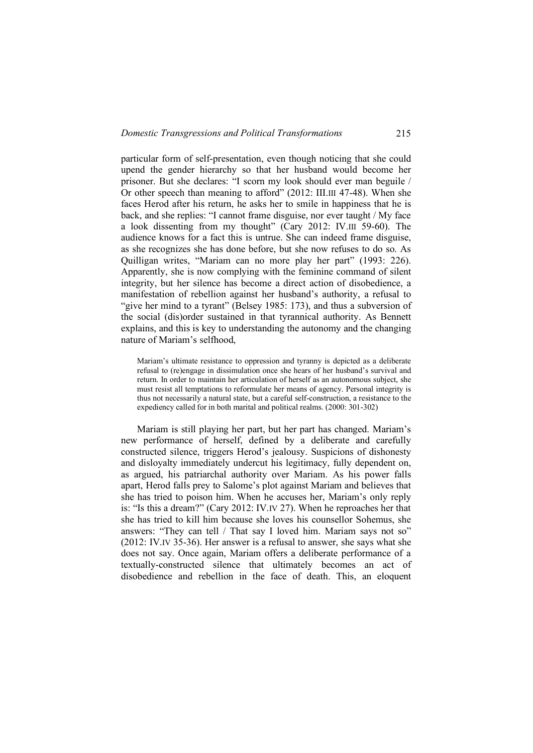particular form of self-presentation, even though noticing that she could upend the gender hierarchy so that her husband would become her prisoner. But she declares: "I scorn my look should ever man beguile / Or other speech than meaning to afford" (2012: III.III 47-48). When she faces Herod after his return, he asks her to smile in happiness that he is back, and she replies: "I cannot frame disguise, nor ever taught / My face a look dissenting from my thought" (Cary 2012: IV.III 59-60). The audience knows for a fact this is untrue. She can indeed frame disguise, as she recognizes she has done before, but she now refuses to do so. As Quilligan writes, "Mariam can no more play her part" (1993: 226). Apparently, she is now complying with the feminine command of silent integrity, but her silence has become a direct action of disobedience, a manifestation of rebellion against her husband's authority, a refusal to "give her mind to a tyrant" (Belsey 1985: 173), and thus a subversion of the social (dis)order sustained in that tyrannical authority. As Bennett explains, and this is key to understanding the autonomy and the changing nature of Mariam's selfhood,

Mariam's ultimate resistance to oppression and tyranny is depicted as a deliberate refusal to (re)engage in dissimulation once she hears of her husband's survival and return. In order to maintain her articulation of herself as an autonomous subject, she must resist all temptations to reformulate her means of agency. Personal integrity is thus not necessarily a natural state, but a careful self-construction, a resistance to the expediency called for in both marital and political realms. (2000: 301-302)

Mariam is still playing her part, but her part has changed. Mariam's new performance of herself, defined by a deliberate and carefully constructed silence, triggers Herod's jealousy. Suspicions of dishonesty and disloyalty immediately undercut his legitimacy, fully dependent on, as argued, his patriarchal authority over Mariam. As his power falls apart, Herod falls prey to Salome's plot against Mariam and believes that she has tried to poison him. When he accuses her, Mariam's only reply is: "Is this a dream?" (Cary 2012: IV.IV 27). When he reproaches her that she has tried to kill him because she loves his counsellor Sohemus, she answers: "They can tell / That say I loved him. Mariam says not so" (2012: IV.IV 35-36). Her answer is a refusal to answer, she says what she does not say. Once again, Mariam offers a deliberate performance of a textually-constructed silence that ultimately becomes an act of disobedience and rebellion in the face of death. This, an eloquent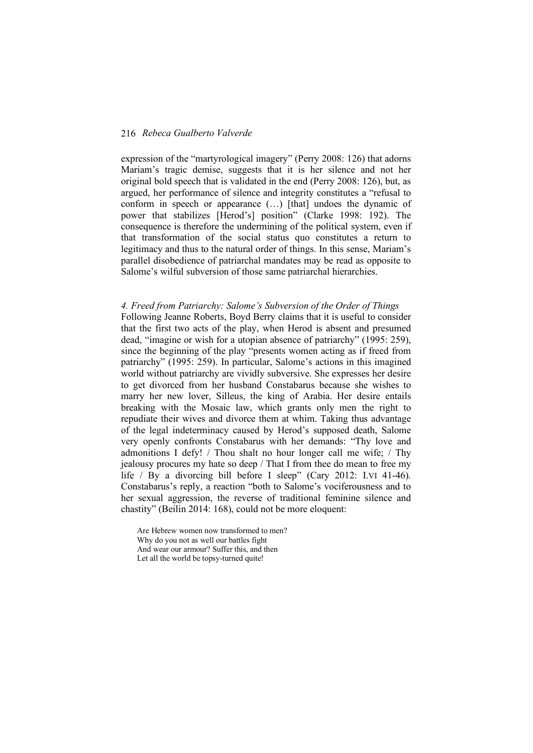expression of the "martyrological imagery" (Perry 2008: 126) that adorns Mariam's tragic demise, suggests that it is her silence and not her original bold speech that is validated in the end (Perry 2008: 126), but, as argued, her performance of silence and integrity constitutes a "refusal to conform in speech or appearance (…) [that] undoes the dynamic of power that stabilizes [Herod's] position" (Clarke 1998: 192). The consequence is therefore the undermining of the political system, even if that transformation of the social status quo constitutes a return to legitimacy and thus to the natural order of things. In this sense, Mariam's parallel disobedience of patriarchal mandates may be read as opposite to Salome's wilful subversion of those same patriarchal hierarchies.

# *4. Freed from Patriarchy: Salome's Subversion of the Order of Things*

Following Jeanne Roberts, Boyd Berry claims that it is useful to consider that the first two acts of the play, when Herod is absent and presumed dead, "imagine or wish for a utopian absence of patriarchy" (1995: 259), since the beginning of the play "presents women acting as if freed from patriarchy" (1995: 259). In particular, Salome's actions in this imagined world without patriarchy are vividly subversive. She expresses her desire to get divorced from her husband Constabarus because she wishes to marry her new lover, Silleus, the king of Arabia. Her desire entails breaking with the Mosaic law, which grants only men the right to repudiate their wives and divorce them at whim. Taking thus advantage of the legal indeterminacy caused by Herod's supposed death, Salome very openly confronts Constabarus with her demands: "Thy love and admonitions I defy! / Thou shalt no hour longer call me wife; / Thy jealousy procures my hate so deep / That I from thee do mean to free my life / By a divorcing bill before I sleep" (Cary 2012: I.VI 41-46). Constabarus's reply, a reaction "both to Salome's vociferousness and to her sexual aggression, the reverse of traditional feminine silence and chastity" (Beilin 2014: 168), could not be more eloquent:

Are Hebrew women now transformed to men? Why do you not as well our battles fight And wear our armour? Suffer this, and then Let all the world be topsy-turned quite!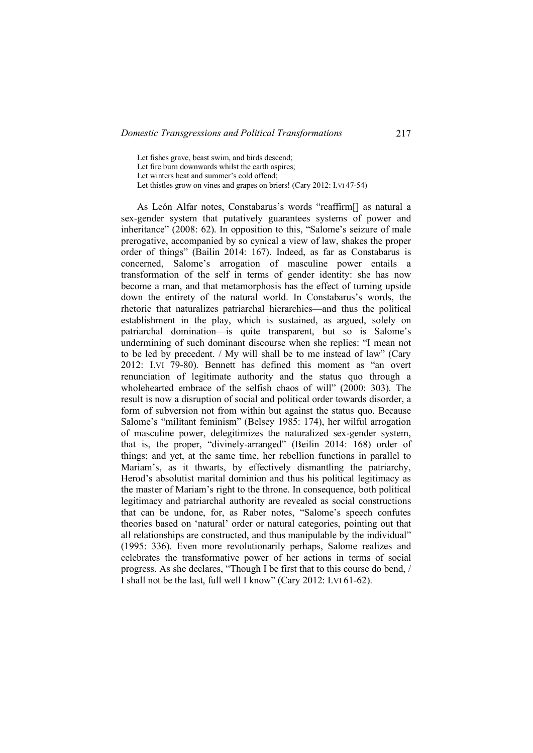Let fishes grave, beast swim, and birds descend;

Let fire burn downwards whilst the earth aspires;

Let winters heat and summer's cold offend;

Let thistles grow on vines and grapes on briers! (Cary 2012: I.VI 47-54)

As León Alfar notes, Constabarus's words "reaffirm[] as natural a sex-gender system that putatively guarantees systems of power and inheritance" (2008: 62). In opposition to this, "Salome's seizure of male prerogative, accompanied by so cynical a view of law, shakes the proper order of things" (Bailin 2014: 167). Indeed, as far as Constabarus is concerned, Salome's arrogation of masculine power entails a transformation of the self in terms of gender identity: she has now become a man, and that metamorphosis has the effect of turning upside down the entirety of the natural world. In Constabarus's words, the rhetoric that naturalizes patriarchal hierarchies—and thus the political establishment in the play, which is sustained, as argued, solely on patriarchal domination—is quite transparent, but so is Salome's undermining of such dominant discourse when she replies: "I mean not to be led by precedent. / My will shall be to me instead of law" (Cary 2012: I.VI 79-80). Bennett has defined this moment as "an overt renunciation of legitimate authority and the status quo through a wholehearted embrace of the selfish chaos of will" (2000: 303). The result is now a disruption of social and political order towards disorder, a form of subversion not from within but against the status quo. Because Salome's "militant feminism" (Belsey 1985: 174), her wilful arrogation of masculine power, delegitimizes the naturalized sex-gender system, that is, the proper, "divinely-arranged" (Beilin 2014: 168) order of things; and yet, at the same time, her rebellion functions in parallel to Mariam's, as it thwarts, by effectively dismantling the patriarchy, Herod's absolutist marital dominion and thus his political legitimacy as the master of Mariam's right to the throne. In consequence, both political legitimacy and patriarchal authority are revealed as social constructions that can be undone, for, as Raber notes, "Salome's speech confutes theories based on 'natural' order or natural categories, pointing out that all relationships are constructed, and thus manipulable by the individual" (1995: 336). Even more revolutionarily perhaps, Salome realizes and celebrates the transformative power of her actions in terms of social progress. As she declares, "Though I be first that to this course do bend, / I shall not be the last, full well I know" (Cary 2012: I.VI 61-62).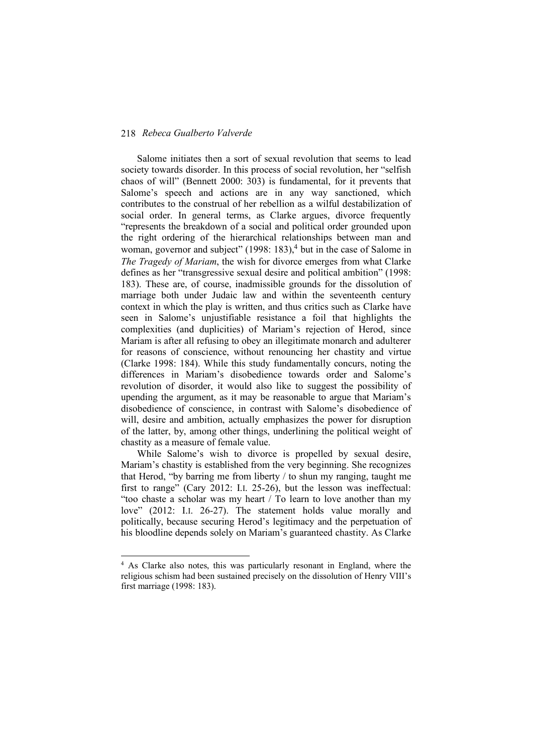Salome initiates then a sort of sexual revolution that seems to lead society towards disorder. In this process of social revolution, her "selfish chaos of will" (Bennett 2000: 303) is fundamental, for it prevents that Salome's speech and actions are in any way sanctioned, which contributes to the construal of her rebellion as a wilful destabilization of social order. In general terms, as Clarke argues, divorce frequently "represents the breakdown of a social and political order grounded upon the right ordering of the hierarchical relationships between man and woman, governor and subject"  $(1998: 183)$ ,  $^{4}$  but in the case of Salome in *The Tragedy of Mariam*, the wish for divorce emerges from what Clarke defines as her "transgressive sexual desire and political ambition" (1998: 183). These are, of course, inadmissible grounds for the dissolution of marriage both under Judaic law and within the seventeenth century context in which the play is written, and thus critics such as Clarke have seen in Salome's unjustifiable resistance a foil that highlights the complexities (and duplicities) of Mariam's rejection of Herod, since Mariam is after all refusing to obey an illegitimate monarch and adulterer for reasons of conscience, without renouncing her chastity and virtue (Clarke 1998: 184). While this study fundamentally concurs, noting the differences in Mariam's disobedience towards order and Salome's revolution of disorder, it would also like to suggest the possibility of upending the argument, as it may be reasonable to argue that Mariam's disobedience of conscience, in contrast with Salome's disobedience of will, desire and ambition, actually emphasizes the power for disruption of the latter, by, among other things, underlining the political weight of chastity as a measure of female value.

While Salome's wish to divorce is propelled by sexual desire, Mariam's chastity is established from the very beginning. She recognizes that Herod, "by barring me from liberty / to shun my ranging, taught me first to range" (Cary 2012: I.I. 25-26), but the lesson was ineffectual: "too chaste a scholar was my heart / To learn to love another than my love" (2012: I.I. 26-27). The statement holds value morally and politically, because securing Herod's legitimacy and the perpetuation of his bloodline depends solely on Mariam's guaranteed chastity. As Clarke

 <sup>4</sup> As Clarke also notes, this was particularly resonant in England, where the religious schism had been sustained precisely on the dissolution of Henry VIII's first marriage (1998: 183).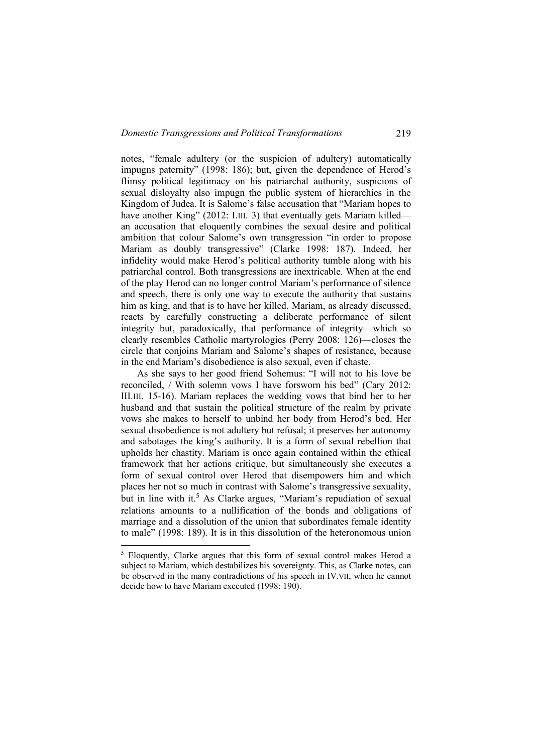notes, "female adultery (or the suspicion of adultery) automatically impugns paternity" (1998: 186); but, given the dependence of Herod's flimsy political legitimacy on his patriarchal authority, suspicions of sexual disloyalty also impugn the public system of hierarchies in the Kingdom of Judea. It is Salome's false accusation that "Mariam hopes to have another King" (2012: I.III. 3) that eventually gets Mariam killed an accusation that eloquently combines the sexual desire and political ambition that colour Salome's own transgression "in order to propose Mariam as doubly transgressive" (Clarke 1998: 187). Indeed, her infidelity would make Herod's political authority tumble along with his patriarchal control. Both transgressions are inextricable. When at the end of the play Herod can no longer control Mariam's performance of silence and speech, there is only one way to execute the authority that sustains him as king, and that is to have her killed. Mariam, as already discussed, reacts by carefully constructing a deliberate performance of silent integrity but, paradoxically, that performance of integrity—which so clearly resembles Catholic martyrologies (Perry 2008: 126)—closes the circle that conjoins Mariam and Salome's shapes of resistance, because in the end Mariam's disobedience is also sexual, even if chaste.

As she says to her good friend Sohemus: "I will not to his love be reconciled, / With solemn vows I have forsworn his bed" (Cary 2012: III.III. 15-16). Mariam replaces the wedding vows that bind her to her husband and that sustain the political structure of the realm by private vows she makes to herself to unbind her body from Herod's bed. Her sexual disobedience is not adultery but refusal; it preserves her autonomy and sabotages the king's authority. It is a form of sexual rebellion that upholds her chastity. Mariam is once again contained within the ethical framework that her actions critique, but simultaneously she executes a form of sexual control over Herod that disempowers him and which places her not so much in contrast with Salome's transgressive sexuality, but in line with it.<sup>5</sup> As Clarke argues, "Mariam's repudiation of sexual relations amounts to a nullification of the bonds and obligations of marriage and a dissolution of the union that subordinates female identity to male" (1998: 189). It is in this dissolution of the heteronomous union

<sup>&</sup>lt;sup>5</sup> Eloquently, Clarke argues that this form of sexual control makes Herod a subject to Mariam, which destabilizes his sovereignty. This, as Clarke notes, can be observed in the many contradictions of his speech in IV.VII, when he cannot decide how to have Mariam executed (1998: 190).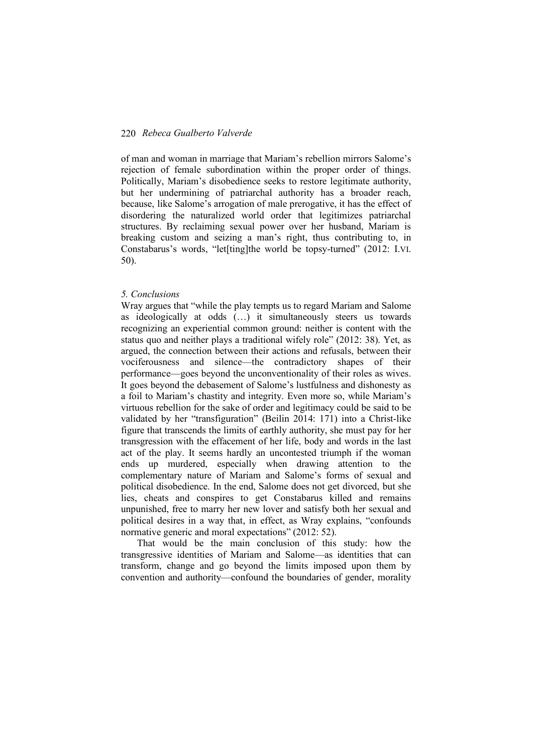of man and woman in marriage that Mariam's rebellion mirrors Salome's rejection of female subordination within the proper order of things. Politically, Mariam's disobedience seeks to restore legitimate authority, but her undermining of patriarchal authority has a broader reach, because, like Salome's arrogation of male prerogative, it has the effect of disordering the naturalized world order that legitimizes patriarchal structures. By reclaiming sexual power over her husband, Mariam is breaking custom and seizing a man's right, thus contributing to, in Constabarus's words, "let[ting]the world be topsy-turned" (2012: I.VI. 50).

#### *5. Conclusions*

Wray argues that "while the play tempts us to regard Mariam and Salome as ideologically at odds (…) it simultaneously steers us towards recognizing an experiential common ground: neither is content with the status quo and neither plays a traditional wifely role" (2012: 38). Yet, as argued, the connection between their actions and refusals, between their vociferousness and silence—the contradictory shapes of their performance—goes beyond the unconventionality of their roles as wives. It goes beyond the debasement of Salome's lustfulness and dishonesty as a foil to Mariam's chastity and integrity. Even more so, while Mariam's virtuous rebellion for the sake of order and legitimacy could be said to be validated by her "transfiguration" (Beilin 2014: 171) into a Christ-like figure that transcends the limits of earthly authority, she must pay for her transgression with the effacement of her life, body and words in the last act of the play. It seems hardly an uncontested triumph if the woman ends up murdered, especially when drawing attention to the complementary nature of Mariam and Salome's forms of sexual and political disobedience. In the end, Salome does not get divorced, but she lies, cheats and conspires to get Constabarus killed and remains unpunished, free to marry her new lover and satisfy both her sexual and political desires in a way that, in effect, as Wray explains, "confounds normative generic and moral expectations" (2012: 52).

That would be the main conclusion of this study: how the transgressive identities of Mariam and Salome—as identities that can transform, change and go beyond the limits imposed upon them by convention and authority—confound the boundaries of gender, morality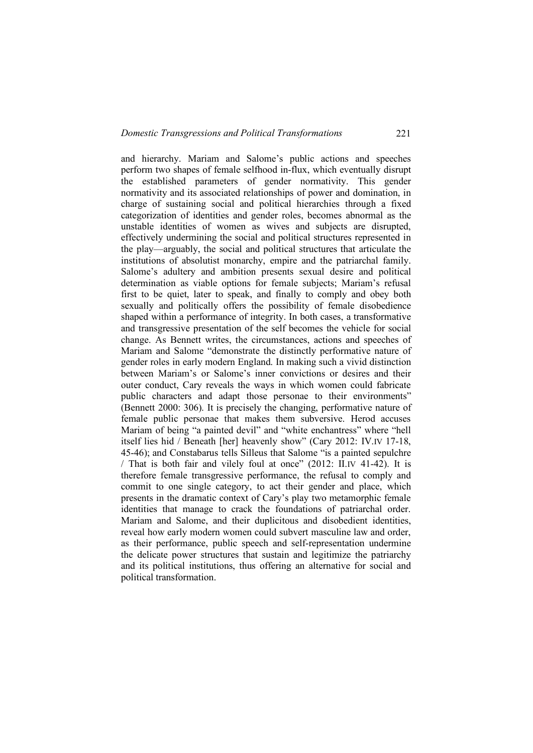and hierarchy. Mariam and Salome's public actions and speeches perform two shapes of female selfhood in-flux, which eventually disrupt the established parameters of gender normativity. This gender normativity and its associated relationships of power and domination, in charge of sustaining social and political hierarchies through a fixed categorization of identities and gender roles, becomes abnormal as the unstable identities of women as wives and subjects are disrupted, effectively undermining the social and political structures represented in the play—arguably, the social and political structures that articulate the institutions of absolutist monarchy, empire and the patriarchal family. Salome's adultery and ambition presents sexual desire and political determination as viable options for female subjects; Mariam's refusal first to be quiet, later to speak, and finally to comply and obey both sexually and politically offers the possibility of female disobedience shaped within a performance of integrity. In both cases, a transformative and transgressive presentation of the self becomes the vehicle for social change. As Bennett writes, the circumstances, actions and speeches of Mariam and Salome "demonstrate the distinctly performative nature of gender roles in early modern England. In making such a vivid distinction between Mariam's or Salome's inner convictions or desires and their outer conduct, Cary reveals the ways in which women could fabricate public characters and adapt those personae to their environments" (Bennett 2000: 306). It is precisely the changing, performative nature of female public personae that makes them subversive. Herod accuses Mariam of being "a painted devil" and "white enchantress" where "hell itself lies hid / Beneath [her] heavenly show" (Cary 2012: IV.IV 17-18, 45-46); and Constabarus tells Silleus that Salome "is a painted sepulchre / That is both fair and vilely foul at once" (2012: II.IV 41-42). It is therefore female transgressive performance, the refusal to comply and commit to one single category, to act their gender and place, which presents in the dramatic context of Cary's play two metamorphic female identities that manage to crack the foundations of patriarchal order. Mariam and Salome, and their duplicitous and disobedient identities, reveal how early modern women could subvert masculine law and order, as their performance, public speech and self-representation undermine the delicate power structures that sustain and legitimize the patriarchy and its political institutions, thus offering an alternative for social and political transformation.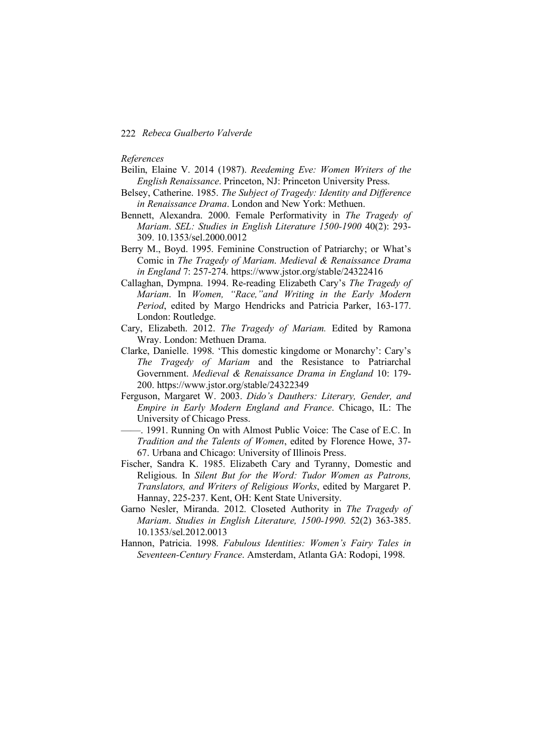#### *References*

- Beilin, Elaine V. 2014 (1987). *Reedeming Eve: Women Writers of the English Renaissance*. Princeton, NJ: Princeton University Press.
- Belsey, Catherine. 1985. *The Subject of Tragedy: Identity and Difference in Renaissance Drama*. London and New York: Methuen.
- Bennett, Alexandra. 2000. Female Performativity in *The Tragedy of Mariam*. *SEL: Studies in English Literature 1500-1900* 40(2): 293- 309. 10.1353/sel.2000.0012
- Berry M., Boyd. 1995. Feminine Construction of Patriarchy; or What's Comic in *The Tragedy of Mariam*. *Medieval & Renaissance Drama in England* 7: 257-274. https://www.jstor.org/stable/24322416
- Callaghan, Dympna. 1994. Re-reading Elizabeth Cary's *The Tragedy of Mariam*. In *Women, "Race,"and Writing in the Early Modern Period*, edited by Margo Hendricks and Patricia Parker, 163-177. London: Routledge.
- Cary, Elizabeth. 2012. *The Tragedy of Mariam.* Edited by Ramona Wray. London: Methuen Drama.
- Clarke, Danielle. 1998. 'This domestic kingdome or Monarchy': Cary's *The Tragedy of Mariam* and the Resistance to Patriarchal Government. *Medieval & Renaissance Drama in England* 10: 179- 200. https://www.jstor.org/stable/24322349
- Ferguson, Margaret W. 2003. *Dido's Dauthers: Literary, Gender, and Empire in Early Modern England and France*. Chicago, IL: The University of Chicago Press.
- ——. 1991. Running On with Almost Public Voice: The Case of E.C. In *Tradition and the Talents of Women*, edited by Florence Howe, 37- 67. Urbana and Chicago: University of Illinois Press.
- Fischer, Sandra K. 1985. Elizabeth Cary and Tyranny, Domestic and Religious. In *Silent But for the Word: Tudor Women as Patrons, Translators, and Writers of Religious Works*, edited by Margaret P. Hannay, 225-237. Kent, OH: Kent State University.
- Garno Nesler, Miranda. 2012. Closeted Authority in *The Tragedy of Mariam*. *Studies in English Literature, 1500-1990*. 52(2) 363-385. 10.1353/sel.2012.0013
- Hannon, Patricia. 1998. *Fabulous Identities: Women's Fairy Tales in Seventeen-Century France*. Amsterdam, Atlanta GA: Rodopi, 1998.